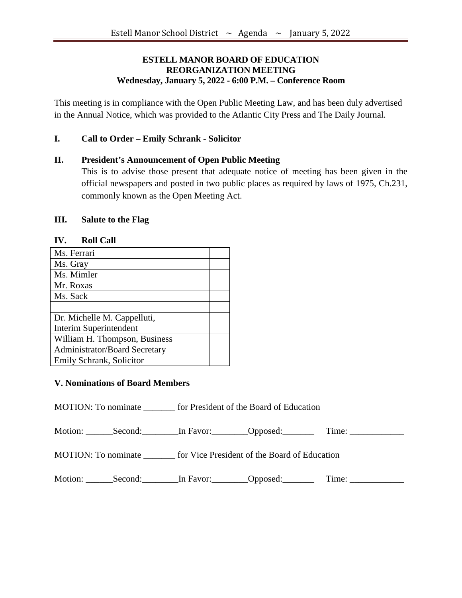## **ESTELL MANOR BOARD OF EDUCATION REORGANIZATION MEETING Wednesday, January 5, 2022 - 6:00 P.M. – Conference Room**

This meeting is in compliance with the Open Public Meeting Law, and has been duly advertised in the Annual Notice, which was provided to the Atlantic City Press and The Daily Journal.

## **I. Call to Order – Emily Schrank - Solicitor**

## **II. President's Announcement of Open Public Meeting**

This is to advise those present that adequate notice of meeting has been given in the official newspapers and posted in two public places as required by laws of 1975, Ch.231, commonly known as the Open Meeting Act.

### **III. Salute to the Flag**

| <b>IV.</b><br>KOH VAH                |  |
|--------------------------------------|--|
| Ms. Ferrari                          |  |
| Ms. Gray                             |  |
| Ms. Mimler                           |  |
| Mr. Roxas                            |  |
| Ms. Sack                             |  |
|                                      |  |
| Dr. Michelle M. Cappelluti,          |  |
| Interim Superintendent               |  |
| William H. Thompson, Business        |  |
| <b>Administrator/Board Secretary</b> |  |
| Emily Schrank, Solicitor             |  |

# **IV. Roll Call**

#### **V. Nominations of Board Members**

MOTION: To nominate \_\_\_\_\_\_\_ for President of the Board of Education

Motion: Second: In Favor: Opposed: Time:

MOTION: To nominate \_\_\_\_\_\_\_ for Vice President of the Board of Education

Motion: Second: In Favor: Opposed: Time: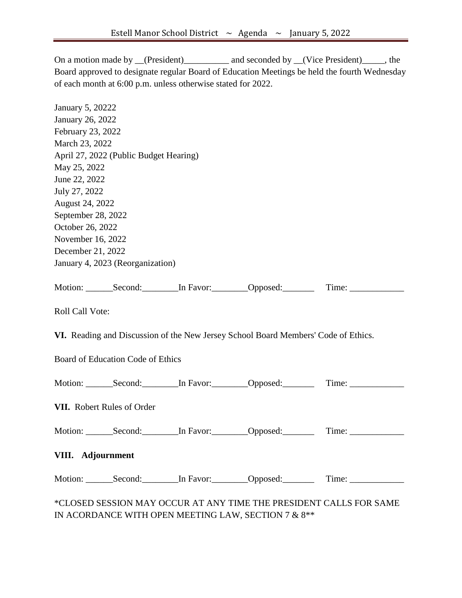On a motion made by \_\_(President)\_\_\_\_\_\_\_\_\_\_\_ and seconded by \_\_(Vice President)\_\_\_\_\_, the Board approved to designate regular Board of Education Meetings be held the fourth Wednesday of each month at 6:00 p.m. unless otherwise stated for 2022.

| January 5, 20222   |                                          |                                                                                    |                                                                                                      |  |
|--------------------|------------------------------------------|------------------------------------------------------------------------------------|------------------------------------------------------------------------------------------------------|--|
| January 26, 2022   |                                          |                                                                                    |                                                                                                      |  |
| February 23, 2022  |                                          |                                                                                    |                                                                                                      |  |
| March 23, 2022     |                                          |                                                                                    |                                                                                                      |  |
|                    | April 27, 2022 (Public Budget Hearing)   |                                                                                    |                                                                                                      |  |
| May 25, 2022       |                                          |                                                                                    |                                                                                                      |  |
| June 22, 2022      |                                          |                                                                                    |                                                                                                      |  |
| July 27, 2022      |                                          |                                                                                    |                                                                                                      |  |
| August 24, 2022    |                                          |                                                                                    |                                                                                                      |  |
| September 28, 2022 |                                          |                                                                                    |                                                                                                      |  |
| October 26, 2022   |                                          |                                                                                    |                                                                                                      |  |
| November 16, 2022  |                                          |                                                                                    |                                                                                                      |  |
| December 21, 2022  |                                          |                                                                                    |                                                                                                      |  |
|                    | January 4, 2023 (Reorganization)         |                                                                                    |                                                                                                      |  |
|                    |                                          |                                                                                    |                                                                                                      |  |
|                    |                                          |                                                                                    | Motion: _______Second: ________In Favor: ________Opposed: __________Time: ____________               |  |
| Roll Call Vote:    |                                          |                                                                                    |                                                                                                      |  |
|                    |                                          | VI. Reading and Discussion of the New Jersey School Board Members' Code of Ethics. |                                                                                                      |  |
|                    | <b>Board of Education Code of Ethics</b> |                                                                                    |                                                                                                      |  |
|                    |                                          |                                                                                    | Motion: _______Second: _________In Favor: _________Opposed: ___________Time: ______________________  |  |
|                    | VII. Robert Rules of Order               |                                                                                    |                                                                                                      |  |
|                    |                                          |                                                                                    | Motion: _______Second: ________In Favor: ________Opposed: __________Time: ____________               |  |
| VIII. Adjournment  |                                          |                                                                                    |                                                                                                      |  |
|                    |                                          |                                                                                    | Motion: _______Second: _________In Favor: ________Opposed: ___________Time: ________________________ |  |
|                    |                                          |                                                                                    | *CLOSED SESSION MAY OCCUR AT ANY TIME THE PRESIDENT CALLS FOR SAME                                   |  |

IN ACORDANCE WITH OPEN MEETING LAW, SECTION 7  $\&$   $8^{**}$